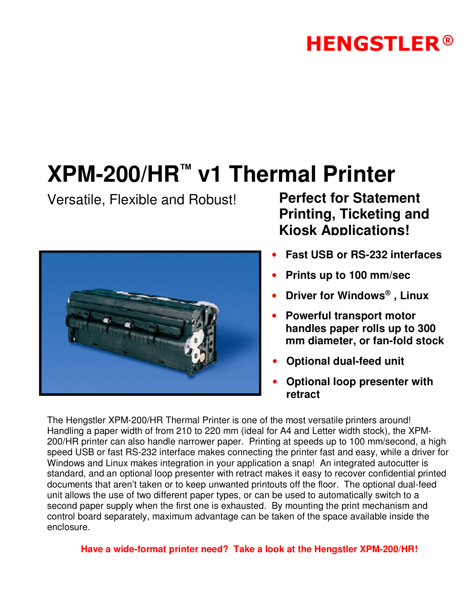## **HENGSTLER®**

# **XPM-200/HR™ v1 Thermal Printer**

Versatile, Flexible and Robust! **Perfect for Statement** 



## **Printing, Ticketing and Kiosk Applications!**

- **Fast USB or RS-232 interfaces**
- **Prints up to 100 mm/sec**
- **Driver for Windows® , Linux**
- **Powerful transport motor handles paper rolls up to 300 mm diameter, or fan-fold stock**
- **Optional dual-feed unit**
- **Optional loop presenter with retract**

The Hengstler XPM-200/HR Thermal Printer is one of the most versatile printers around! Handling a paper width of from 210 to 220 mm (ideal for A4 and Letter width stock), the XPM-200/HR printer can also handle narrower paper. Printing at speeds up to 100 mm/second, a high speed USB or fast RS-232 interface makes connecting the printer fast and easy, while a driver for Windows and Linux makes integration in your application a snap! An integrated autocutter is standard, and an optional loop presenter with retract makes it easy to recover confidential printed documents that aren't taken or to keep unwanted printouts off the floor. The optional dual-feed unit allows the use of two different paper types, or can be used to automatically switch to a second paper supply when the first one is exhausted. By mounting the print mechanism and control board separately, maximum advantage can be taken of the space available inside the enclosure.

**Have a wide-format printer need? Take a look at the Hengstler XPM-200/HR!**